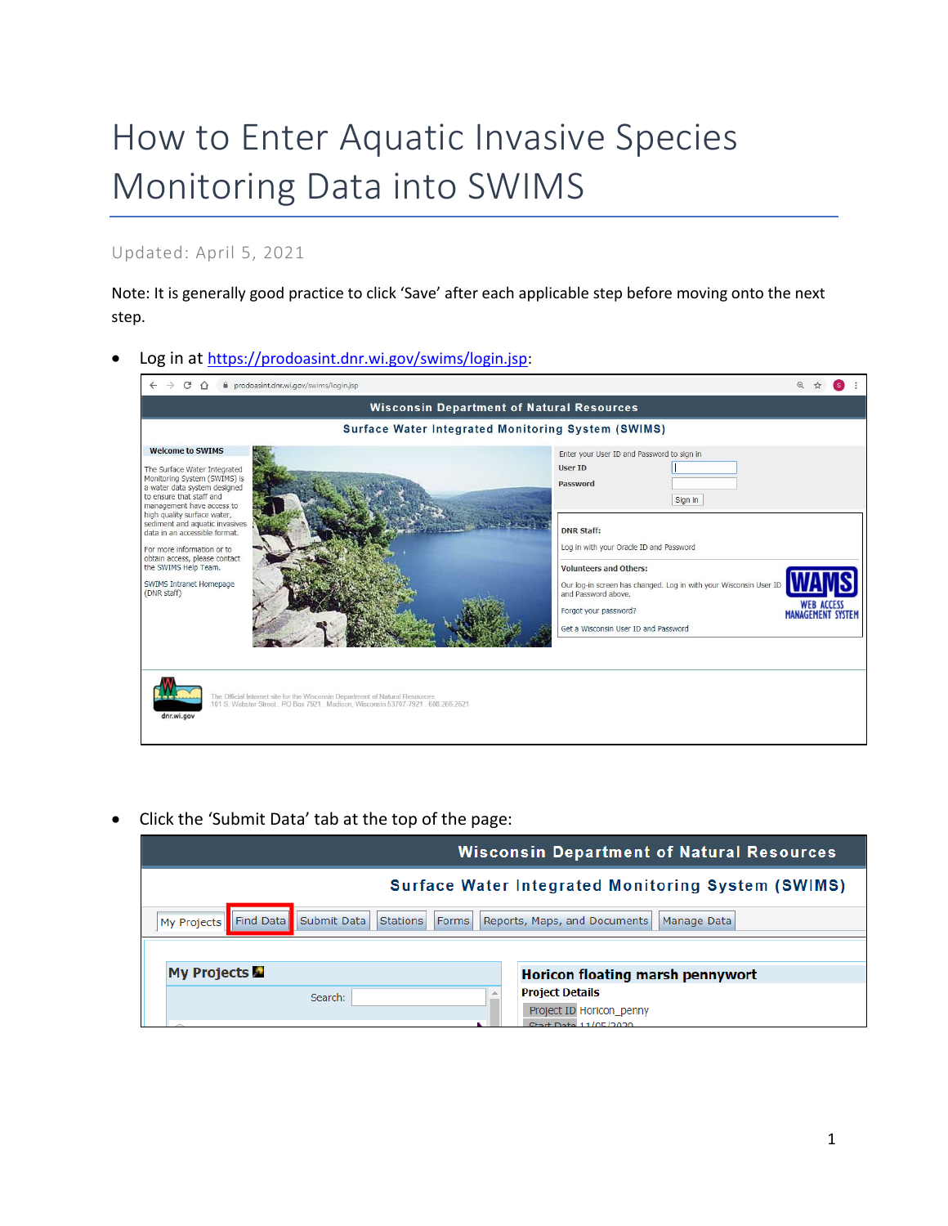## How to Enter Aquatic Invasive Species Monitoring Data into SWIMS

## Updated: April 5, 2021

Note: It is generally good practice to click 'Save' after each applicable step before moving onto the next step.

Log in at [https://prodoasint.dnr.wi.gov/swims/login.jsp:](https://prodoasint.dnr.wi.gov/swims/login.jsp)



• Click the 'Submit Data' tab at the top of the page:

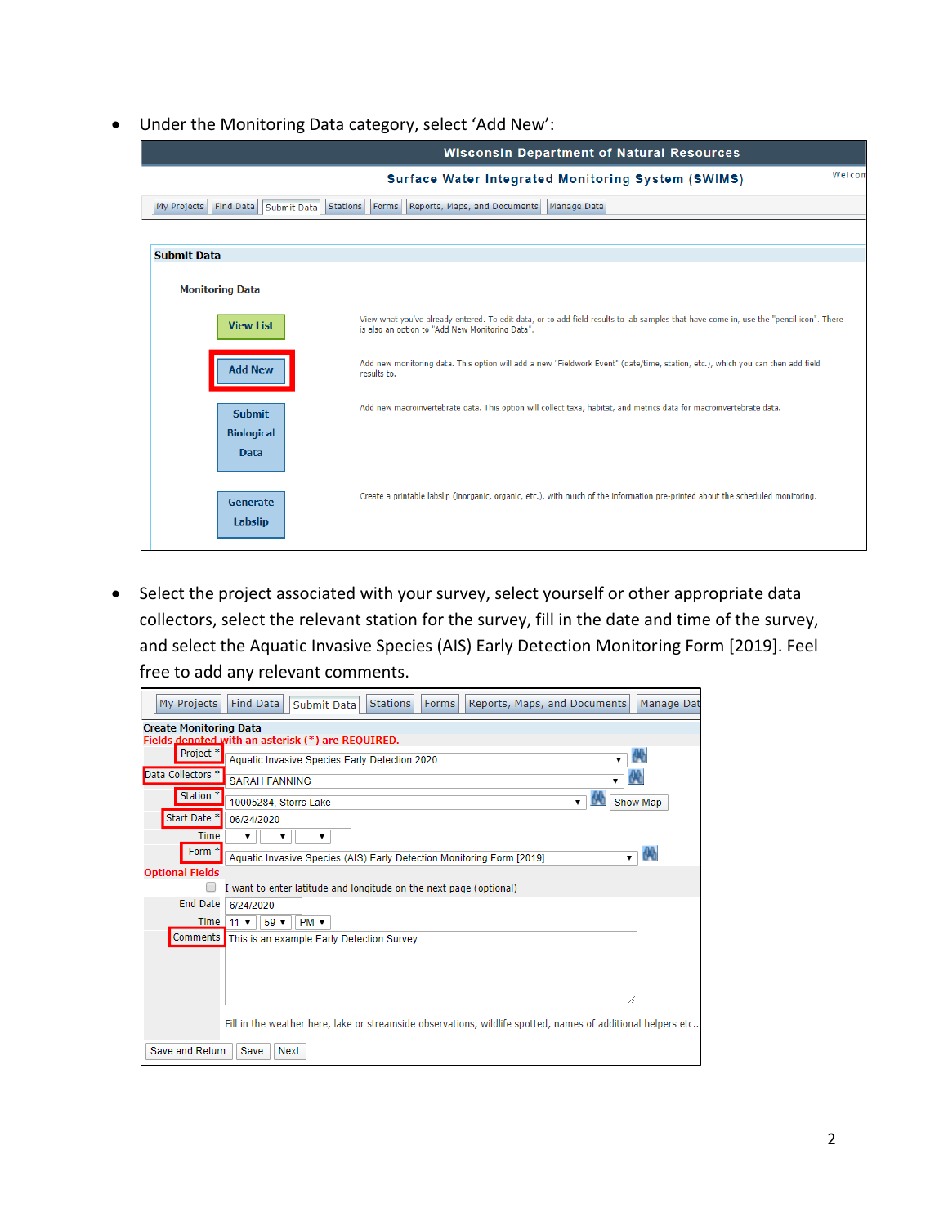• Under the Monitoring Data category, select 'Add New':

|                                         | <b>Wisconsin Department of Natural Resources</b>                                                                                                                                          |        |
|-----------------------------------------|-------------------------------------------------------------------------------------------------------------------------------------------------------------------------------------------|--------|
|                                         | <b>Surface Water Integrated Monitoring System (SWIMS)</b>                                                                                                                                 | Welcom |
| Find Data<br>My Projects<br>Submit Data | Stations Forms<br>Reports, Maps, and Documents<br>Manage Data                                                                                                                             |        |
|                                         |                                                                                                                                                                                           |        |
| <b>Submit Data</b>                      |                                                                                                                                                                                           |        |
| <b>Monitoring Data</b>                  |                                                                                                                                                                                           |        |
| <b>View List</b>                        | View what you've already entered. To edit data, or to add field results to lab samples that have come in, use the "pencil icon". There<br>is also an option to "Add New Monitoring Data". |        |
| <b>Add New</b>                          | Add new monitoring data. This option will add a new "Fieldwork Event" (date/time, station, etc.), which you can then add field<br>results to.                                             |        |
| <b>Submit</b>                           | Add new macroinvertebrate data. This option will collect taxa, habitat, and metrics data for macroinvertebrate data.                                                                      |        |
| <b>Biological</b>                       |                                                                                                                                                                                           |        |
| <b>Data</b>                             |                                                                                                                                                                                           |        |
| Generate                                | Create a printable labslip (inorganic, organic, etc.), with much of the information pre-printed about the scheduled monitoring.                                                           |        |
| Labslip                                 |                                                                                                                                                                                           |        |
|                                         |                                                                                                                                                                                           |        |

• Select the project associated with your survey, select yourself or other appropriate data collectors, select the relevant station for the survey, fill in the date and time of the survey, and select the Aquatic Invasive Species (AIS) Early Detection Monitoring Form [2019]. Feel free to add any relevant comments.

| My Projects                   | <b>Find Data</b><br><b>Stations</b><br>Reports, Maps, and Documents<br>Manage Dat<br>Submit Data<br><b>Forms</b> |
|-------------------------------|------------------------------------------------------------------------------------------------------------------|
| <b>Create Monitoring Data</b> |                                                                                                                  |
|                               | Fields denoted with an asterisk (*) are REQUIRED.                                                                |
| Project <sup>*</sup>          | Aquatic Invasive Species Early Detection 2020                                                                    |
| Data Collectors <sup>*</sup>  | <b>SARAH FANNING</b>                                                                                             |
| Station <sup>*</sup>          | Show Map<br>10005284, Storrs Lake<br>$\mathbf{v}$                                                                |
| Start Date <sup>*</sup>       | 06/24/2020                                                                                                       |
| <b>Time</b>                   | ▼<br>▼                                                                                                           |
| Form *                        | Aquatic Invasive Species (AIS) Early Detection Monitoring Form [2019]<br>▼.                                      |
| <b>Optional Fields</b>        |                                                                                                                  |
|                               | I want to enter latitude and longitude on the next page (optional)                                               |
| <b>End Date</b>               | 6/24/2020                                                                                                        |
| Time $11 \times$              | $59 -$<br>$PM \nabla$                                                                                            |
| <b>Comments</b>               | This is an example Early Detection Survey.                                                                       |
|                               |                                                                                                                  |
|                               |                                                                                                                  |
|                               |                                                                                                                  |
|                               |                                                                                                                  |
|                               | Fill in the weather here, lake or streamside observations, wildlife spotted, names of additional helpers etc     |
| Save and Return               | Save<br>Next                                                                                                     |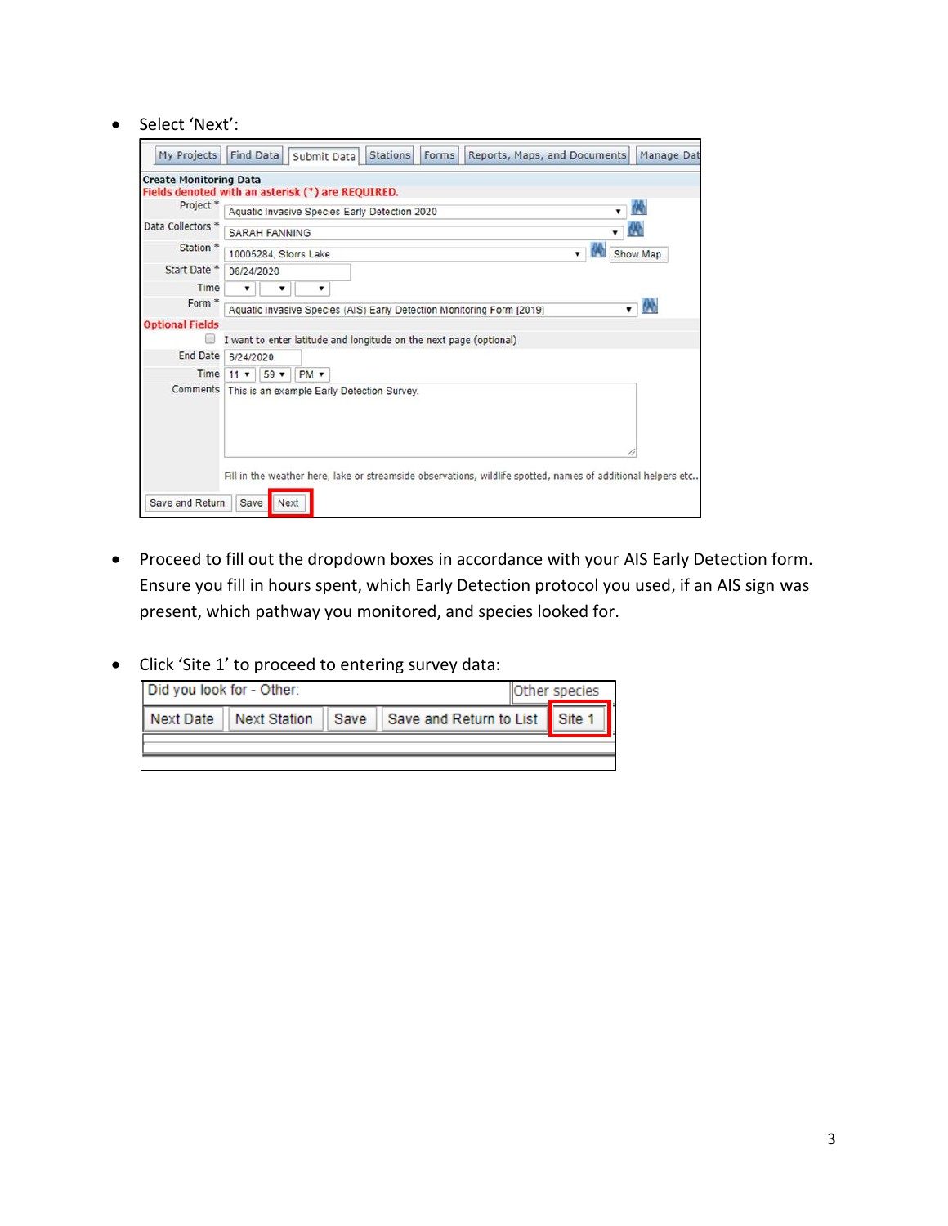• Select 'Next':

| My Projects                                            | <b>Find Data</b><br><b>Stations</b><br>Forms<br>Reports, Maps, and Documents<br>Manage Dat<br>Submit Data                    |  |  |  |
|--------------------------------------------------------|------------------------------------------------------------------------------------------------------------------------------|--|--|--|
| <b>Create Monitoring Data</b>                          |                                                                                                                              |  |  |  |
|                                                        | Fields denoted with an asterisk (*) are REQUIRED.                                                                            |  |  |  |
| Project <sup>*</sup>                                   | M<br>Aquatic Invasive Species Early Detection 2020                                                                           |  |  |  |
| Data Collectors <sup>*</sup>                           | 64b<br><b>SARAH FANNING</b>                                                                                                  |  |  |  |
| Station <sup>®</sup>                                   | Show Map<br>10005284, Storrs Lake                                                                                            |  |  |  |
| Start Date *                                           | 06/24/2020                                                                                                                   |  |  |  |
| Time                                                   |                                                                                                                              |  |  |  |
| Form <sup>®</sup>                                      | M)<br>Aquatic Invasive Species (AIS) Early Detection Monitoring Form [2019]<br>▼                                             |  |  |  |
| <b>Optional Fields</b>                                 |                                                                                                                              |  |  |  |
|                                                        | I want to enter latitude and longitude on the next page (optional)                                                           |  |  |  |
| End Date                                               | 6/24/2020                                                                                                                    |  |  |  |
| Time                                                   | $59 -$<br>$PM \times$<br>$11 \times$                                                                                         |  |  |  |
| Comments<br>This is an example Early Detection Survey. |                                                                                                                              |  |  |  |
| Save and Return                                        | Fill in the weather here, lake or streamside observations, wildlife spotted, names of additional helpers etc<br>Save<br>Next |  |  |  |

- Proceed to fill out the dropdown boxes in accordance with your AIS Early Detection form. Ensure you fill in hours spent, which Early Detection protocol you used, if an AIS sign was present, which pathway you monitored, and species looked for.
- Click 'Site 1' to proceed to entering survey data:

| Did you look for - Other:<br>Other species |                                |  |  |  |  |
|--------------------------------------------|--------------------------------|--|--|--|--|
| I Next Date<br><b>Next Station</b><br>Save | Save and Return to List Site 1 |  |  |  |  |
|                                            |                                |  |  |  |  |
|                                            |                                |  |  |  |  |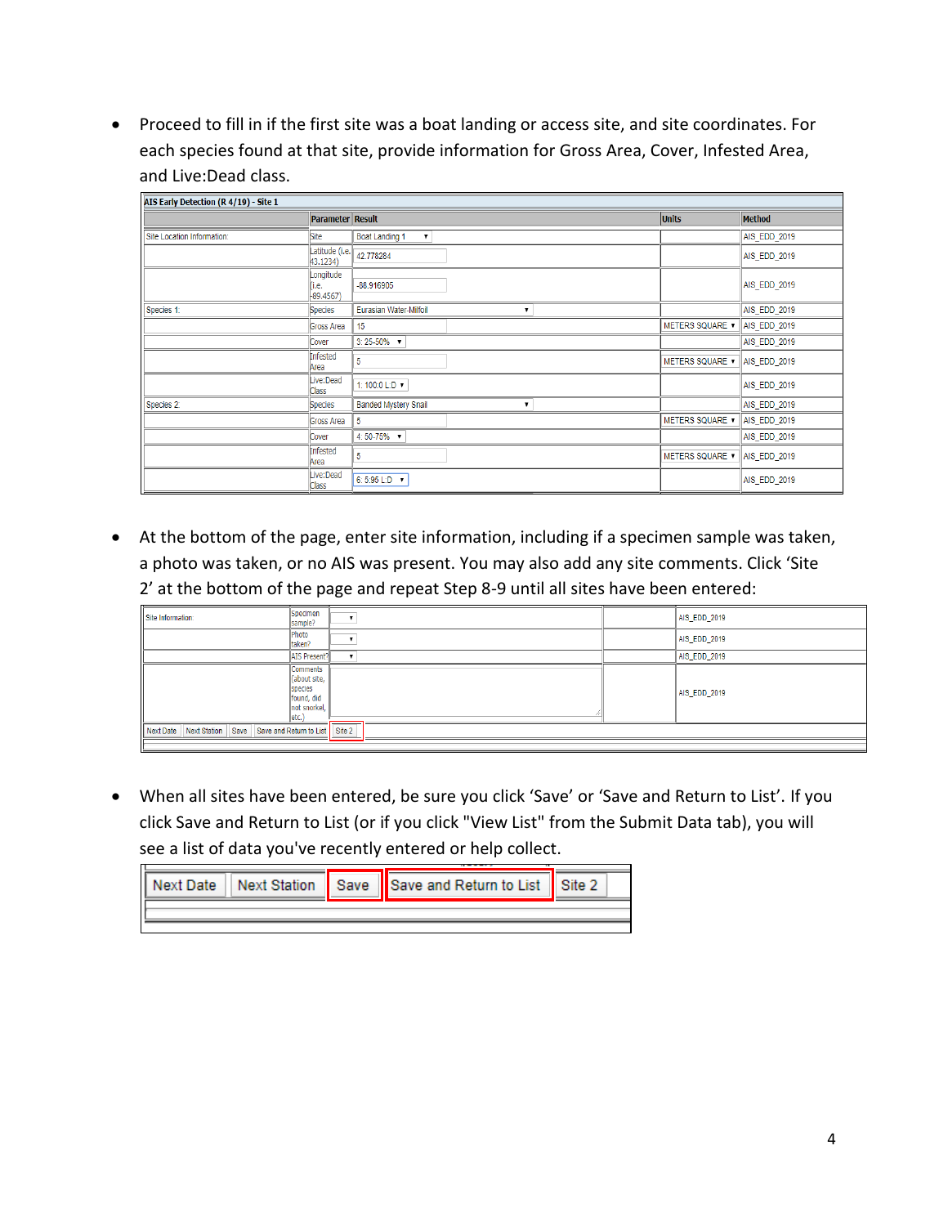• Proceed to fill in if the first site was a boat landing or access site, and site coordinates. For each species found at that site, provide information for Gross Area, Cover, Infested Area, and Live:Dead class.

| AIS Early Detection (R 4/19) - Site 1 |                                   |                                              |                        |                     |
|---------------------------------------|-----------------------------------|----------------------------------------------|------------------------|---------------------|
|                                       | <b>Parameter Result</b>           |                                              | <b>Units</b>           | Method              |
| Site Location Information:            | Site                              | <b>Boat Landing 1</b><br>$\pmb{\mathrm{v}}$  |                        | <b>AIS EDD 2019</b> |
|                                       | Latitude (i.e.<br>43.1234)        | 42.778284                                    |                        | AIS_EDD_2019        |
|                                       | Longitude<br>(і.е.<br>$-89.4567)$ | $-88.916905$                                 |                        | AIS_EDD_2019        |
| Species 1:                            | Species                           | Eurasian Water-Milfoil<br>$\pmb{\mathrm{v}}$ |                        | AIS_EDD_2019        |
|                                       | <b>Gross Area</b>                 | 15                                           | <b>METERS SQUARE ▼</b> | AIS_EDD_2019        |
|                                       | Cover                             | $3:25-50\%$ $\blacktriangledown$             |                        | AIS_EDD_2019        |
|                                       | Infested<br>Area                  | 5                                            | <b>METERS SQUARE ▼</b> | AIS_EDD_2019        |
|                                       | Live:Dead<br>Class                | 1: 100:0 L:D ▼                               |                        | AIS EDD 2019        |
| Species 2:                            | Species                           | <b>Banded Mystery Snail</b><br>7             |                        | AIS_EDD_2019        |
|                                       | Gross Area                        | 5                                            | METERS SQUARE <b>v</b> | AIS_EDD_2019        |
|                                       | Cover                             | 4:50-75% $\times$                            |                        | AIS_EDD_2019        |
|                                       | Infested<br>Area                  | 5                                            | <b>METERS SQUARE ▼</b> | AIS_EDD_2019        |
|                                       | Live:Dead<br>Class                | 6: 5:95 L:D ▼                                |                        | AIS_EDD_2019        |

• At the bottom of the page, enter site information, including if a specimen sample was taken, a photo was taken, or no AIS was present. You may also add any site comments. Click 'Site 2' at the bottom of the page and repeat Step 8-9 until all sites have been entered:

| Site Information:                                                  | Specimen<br>sample?                                                                | ٠ | AIS_EDD_2019 |
|--------------------------------------------------------------------|------------------------------------------------------------------------------------|---|--------------|
|                                                                    | Photo<br>taken?                                                                    | ٠ | AIS_EDD_2019 |
|                                                                    | AIS Present?                                                                       |   | AIS_EDD_2019 |
|                                                                    | <b>Comments</b><br>(about site,<br>species<br>found, did<br>not snorkel,<br>letc.) |   | AIS_EDD_2019 |
| Next Date   Next Station   Save   Save and Return to List   Site 2 |                                                                                    |   |              |
|                                                                    |                                                                                    |   |              |

• When all sites have been entered, be sure you click 'Save' or 'Save and Return to List'. If you click Save and Return to List (or if you click "View List" from the Submit Data tab), you will see a list of data you've recently entered or help collect.

|  |  | Next Date   Next Station   Save   Save and Return to List   Site 2 |  |
|--|--|--------------------------------------------------------------------|--|
|  |  |                                                                    |  |